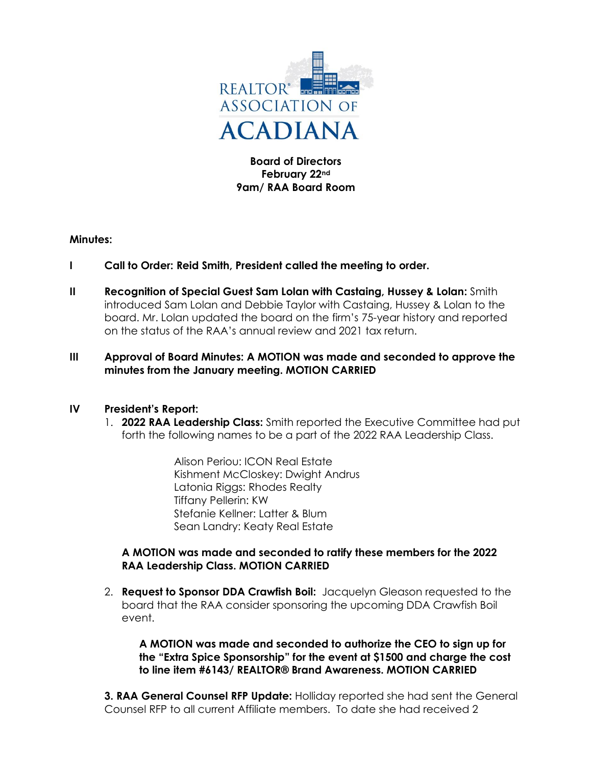

**Board of Directors February 22nd 9am/ RAA Board Room**

#### **Minutes:**

- **I Call to Order: Reid Smith, President called the meeting to order.**
- **II Recognition of Special Guest Sam Lolan with Castaing, Hussey & Lolan:** Smith introduced Sam Lolan and Debbie Taylor with Castaing, Hussey & Lolan to the board. Mr. Lolan updated the board on the firm's 75-year history and reported on the status of the RAA's annual review and 2021 tax return.

#### **III Approval of Board Minutes: A MOTION was made and seconded to approve the minutes from the January meeting. MOTION CARRIED**

#### **IV President's Report:**

1. **2022 RAA Leadership Class:** Smith reported the Executive Committee had put forth the following names to be a part of the 2022 RAA Leadership Class.

> Alison Periou: ICON Real Estate Kishment McCloskey: Dwight Andrus Latonia Riggs: Rhodes Realty Tiffany Pellerin: KW Stefanie Kellner: Latter & Blum Sean Landry: Keaty Real Estate

#### **A MOTION was made and seconded to ratify these members for the 2022 RAA Leadership Class. MOTION CARRIED**

2. **Request to Sponsor DDA Crawfish Boil:** Jacquelyn Gleason requested to the board that the RAA consider sponsoring the upcoming DDA Crawfish Boil event.

**A MOTION was made and seconded to authorize the CEO to sign up for the "Extra Spice Sponsorship" for the event at \$1500 and charge the cost to line item #6143/ REALTOR® Brand Awareness. MOTION CARRIED**

**3. RAA General Counsel RFP Update:** Holliday reported she had sent the General Counsel RFP to all current Affiliate members. To date she had received 2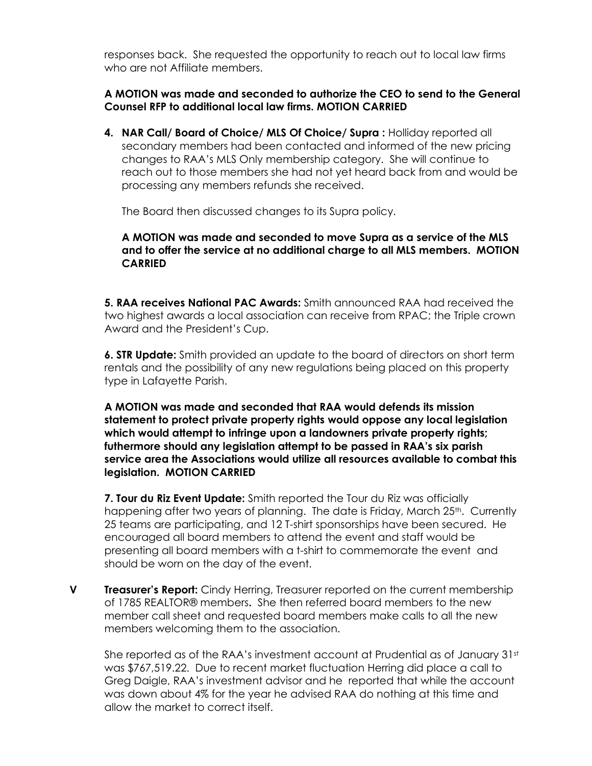responses back. She requested the opportunity to reach out to local law firms who are not Affiliate members.

# **A MOTION was made and seconded to authorize the CEO to send to the General Counsel RFP to additional local law firms. MOTION CARRIED**

**4. NAR Call/ Board of Choice/ MLS Of Choice/ Supra :** Holliday reported all secondary members had been contacted and informed of the new pricing changes to RAA's MLS Only membership category. She will continue to reach out to those members she had not yet heard back from and would be processing any members refunds she received.

The Board then discussed changes to its Supra policy.

# **A MOTION was made and seconded to move Supra as a service of the MLS and to offer the service at no additional charge to all MLS members. MOTION CARRIED**

**5. RAA receives National PAC Awards:** Smith announced RAA had received the two highest awards a local association can receive from RPAC; the Triple crown Award and the President's Cup.

**6. STR Update:** Smith provided an update to the board of directors on short term rentals and the possibility of any new regulations being placed on this property type in Lafayette Parish.

**A MOTION was made and seconded that RAA would defends its mission statement to protect private property rights would oppose any local legislation which would attempt to infringe upon a landowners private property rights; futhermore should any legislation attempt to be passed in RAA's six parish service area the Associations would utilize all resources available to combat this legislation. MOTION CARRIED**

**7. Tour du Riz Event Update:** Smith reported the Tour du Riz was officially happening after two years of planning. The date is Friday, March 25<sup>th</sup>. Currently 25 teams are participating, and 12 T-shirt sponsorships have been secured. He encouraged all board members to attend the event and staff would be presenting all board members with a t-shirt to commemorate the event and should be worn on the day of the event.

**V Treasurer's Report:** Cindy Herring, Treasurer reported on the current membership of 1785 REALTOR® members**.** She then referred board members to the new member call sheet and requested board members make calls to all the new members welcoming them to the association.

She reported as of the RAA's investment account at Prudential as of January 31st was \$767,519.22. Due to recent market fluctuation Herring did place a call to Greg Daigle, RAA's investment advisor and he reported that while the account was down about 4% for the year he advised RAA do nothing at this time and allow the market to correct itself.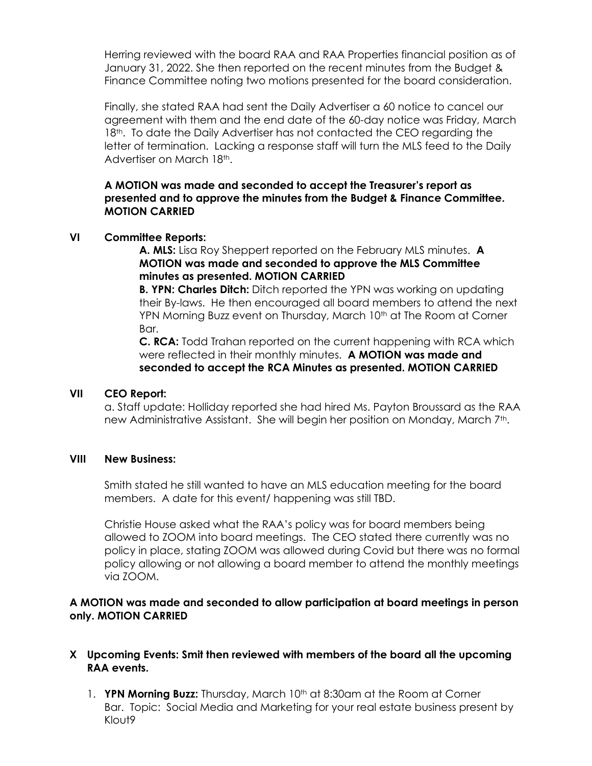Herring reviewed with the board RAA and RAA Properties financial position as of January 31, 2022. She then reported on the recent minutes from the Budget & Finance Committee noting two motions presented for the board consideration.

Finally, she stated RAA had sent the Daily Advertiser a 60 notice to cancel our agreement with them and the end date of the 60-day notice was Friday, March 18<sup>th</sup>. To date the Daily Advertiser has not contacted the CEO regarding the letter of termination. Lacking a response staff will turn the MLS feed to the Daily Advertiser on March 18th.

**A MOTION was made and seconded to accept the Treasurer's report as presented and to approve the minutes from the Budget & Finance Committee. MOTION CARRIED**

#### **VI Committee Reports:**

**A. MLS:** Lisa Roy Sheppert reported on the February MLS minutes. **A MOTION was made and seconded to approve the MLS Committee minutes as presented. MOTION CARRIED**

**B. YPN: Charles Ditch:** Ditch reported the YPN was working on updating their By-laws. He then encouraged all board members to attend the next YPN Morning Buzz event on Thursday, March 10th at The Room at Corner Bar.

**C. RCA:** Todd Trahan reported on the current happening with RCA which were reflected in their monthly minutes. **A MOTION was made and seconded to accept the RCA Minutes as presented. MOTION CARRIED**

#### **VII CEO Report:**

a. Staff update: Holliday reported she had hired Ms. Payton Broussard as the RAA new Administrative Assistant. She will begin her position on Monday, March 7<sup>th</sup>.

#### **VIII New Business:**

Smith stated he still wanted to have an MLS education meeting for the board members. A date for this event/ happening was still TBD.

Christie House asked what the RAA's policy was for board members being allowed to ZOOM into board meetings. The CEO stated there currently was no policy in place, stating ZOOM was allowed during Covid but there was no formal policy allowing or not allowing a board member to attend the monthly meetings via ZOOM.

# **A MOTION was made and seconded to allow participation at board meetings in person only. MOTION CARRIED**

# **X Upcoming Events: Smit then reviewed with members of the board all the upcoming RAA events.**

1. **YPN Morning Buzz:** Thursday, March 10<sup>th</sup> at 8:30am at the Room at Corner Bar. Topic: Social Media and Marketing for your real estate business present by Klout9